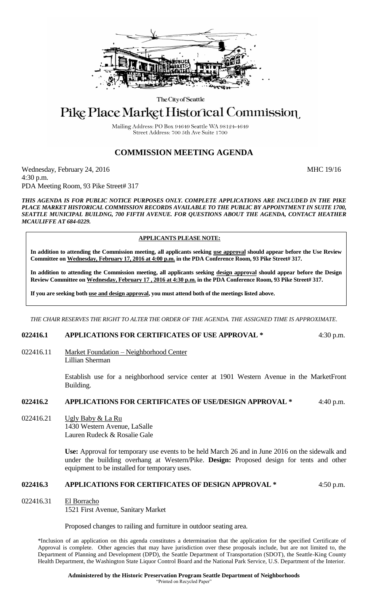

The City of Seattle

# Pike Place Market Historical Commission

Mailing Address: PO Box 94649 Seattle WA 98124-4649 Street Address: 700 5th Ave Suite 1700

## **COMMISSION MEETING AGENDA**

Wednesday, February 24, 2016 MHC 19/16 4:30 p.m. PDA Meeting Room, 93 Pike Street# 317

*THIS AGENDA IS FOR PUBLIC NOTICE PURPOSES ONLY. COMPLETE APPLICATIONS ARE INCLUDED IN THE PIKE PLACE MARKET HISTORICAL COMMISSION RECORDS AVAILABLE TO THE PUBLIC BY APPOINTMENT IN SUITE 1700, SEATTLE MUNICIPAL BUILDNG, 700 FIFTH AVENUE. FOR QUESTIONS ABOUT THE AGENDA, CONTACT HEATHER MCAULIFFE AT 684-0229.*

### **APPLICANTS PLEASE NOTE:**

**In addition to attending the Commission meeting, all applicants seeking use approval should appear before the Use Review Committee on Wednesday, February 17, 2016 at 4:00 p.m. in the PDA Conference Room, 93 Pike Street# 317.**

**In addition to attending the Commission meeting, all applicants seeking design approval should appear before the Design Review Committee on Wednesday, February 17 , 2016 at 4:30 p.m. in the PDA Conference Room, 93 Pike Street# 317.** 

**If you are seeking both use and design approval, you must attend both of the meetings listed above.**

*THE CHAIR RESERVES THE RIGHT TO ALTER THE ORDER OF THE AGENDA. THE ASSIGNED TIME IS APPROXIMATE.*

#### **022416.1 APPLICATIONS FOR CERTIFICATES OF USE APPROVAL \*** 4:30 p.m.

022416.11 Market Foundation – Neighborhood Center Lillian Sherman

> Establish use for a neighborhood service center at 1901 Western Avenue in the MarketFront Building.

#### **022416.2 APPLICATIONS FOR CERTIFICATES OF USE/DESIGN APPROVAL \*** 4:40 p.m.

022416.21 Ugly Baby & La Ru

1430 Western Avenue, LaSalle Lauren Rudeck & Rosalie Gale

**Use:** Approval for temporary use events to be held March 26 and in June 2016 on the sidewalk and under the building overhang at Western/Pike. **Design:** Proposed design for tents and other equipment to be installed for temporary uses.

#### **022416.3 APPLICATIONS FOR CERTIFICATES OF DESIGN APPROVAL \*** 4:50 p.m.

022416.31 El Borracho

1521 First Avenue, Sanitary Market

Proposed changes to railing and furniture in outdoor seating area.

\*Inclusion of an application on this agenda constitutes a determination that the application for the specified Certificate of Approval is complete. Other agencies that may have jurisdiction over these proposals include, but are not limited to, the Department of Planning and Development (DPD), the Seattle Department of Transportation (SDOT), the Seattle-King County Health Department, the Washington State Liquor Control Board and the National Park Service, U.S. Department of the Interior.

**Administered by the Historic Preservation Program Seattle Department of Neighborhoods**

"Printed on Recycled Paper"